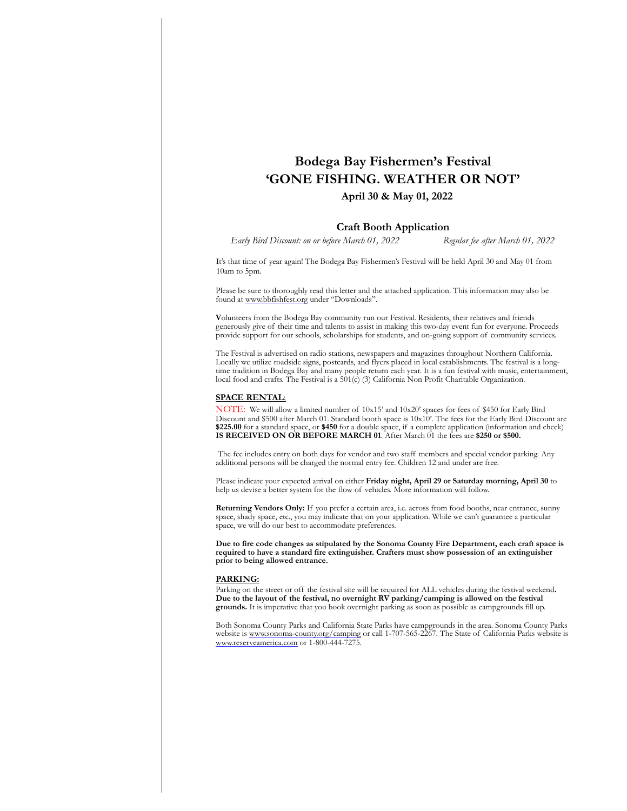# **Bodega Bay Fishermen's Festival 'GONE FISHING. WEATHER OR NOT'**

# **April 30 & May 01, 2022**

## **Craft Booth Application**

 *Early Bird Discount: on or before March 01, 2022 Regular fee after March 01, 2022*

It's that time of year again! The Bodega Bay Fishermen's Festival will be held April 30 and May 01 from 10am to 5pm.

Please be sure to thoroughly read this letter and the attached application. This information may also be found at [www.bbfishfest.org u](http://www.bbfishfest.org/)nder "Downloads".

**V**olunteers from the Bodega Bay community run our Festival. Residents, their relatives and friends generously give of their time and talents to assist in making this two-day event fun for everyone. Proceeds provide support for our schools, scholarships for students, and on-going support of community services.

The Festival is advertised on radio stations, newspapers and magazines throughout Northern California. Locally we utilize roadside signs, postcards, and flyers placed in local establishments. The festival is a longtime tradition in Bodega Bay and many people return each year. It is a fun festival with music, entertainment, local food and crafts. The Festival is a  $501(c)$  (3) California Non Profit Charitable Organization.

### **SPACE RENTAL**:

NOTE: We will allow a limited number of 10x15' and 10x20' spaces for fees of \$450 for Early Bird Discount and \$500 after March 01. Standard booth space is 10x10'. The fees for the Early Bird Discount are **\$225.00** for a standard space, or **\$450** for a double space, if a complete application (information and check) **IS RECEIVED ON OR BEFORE MARCH 01**. After March 01 the fees are **\$250 or \$500.**

 The fee includes entry on both days for vendor and two staff members and special vendor parking. Any additional persons will be charged the normal entry fee. Children 12 and under are free.

Please indicate your expected arrival on either **Friday night, April 29 or Saturday morning, April 30** to help us devise a better system for the flow of vehicles. More information will follow.

**Returning Vendors Only:** If you prefer a certain area, i.e. across from food booths, near entrance, sunny space, shady space, etc., you may indicate that on your application. While we can't guarantee a particular space, we will do our best to accommodate preferences.

**Due to fire code changes as stipulated by the Sonoma County Fire Department, each craft space is required to have a standard fire extinguisher. Crafters must show possession of an extinguisher prior to being allowed entrance.** 

#### **PARKING:**

Parking on the street or off the festival site will be required for ALL vehicles during the festival weekend**.**  Due to the layout of the festival, no overnight RV parking/camping is allowed on the festival **grounds.** It is imperative that you book overnight parking as soon as possible as campgrounds fill up.

Both Sonoma County Parks and California State Parks have campgrounds in the area. Sonoma County Parks website is [www.sonoma-county.org/camping o](http://www.sonoma-county.org/camping)r call 1-707-565-2267. The State of California Parks website is [www.reserveamerica.com o](http://www.reserveamerica.com/)r 1-800-444-7275.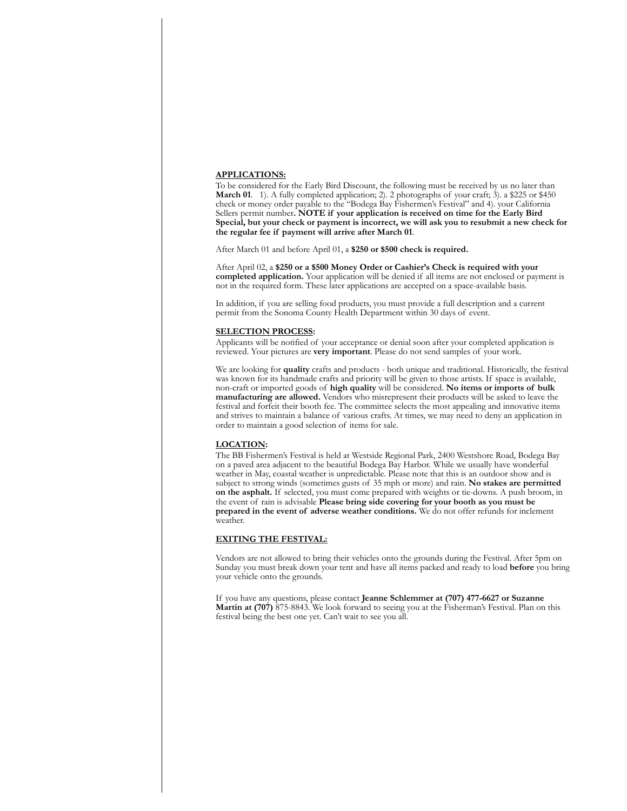#### **APPLICATIONS:**

To be considered for the Early Bird Discount, the following must be received by us no later than **March 01**. 1). A fully completed application; 2). 2 photographs of your craft; 3). a \$225 or \$450 check or money order payable to the "Bodega Bay Fishermen's Festival" and 4). your California Sellers permit number**. NOTE if your application is received on time for the Early Bird Special, but your check or payment is incorrect, we will ask you to resubmit a new check for the regular fee if payment will arrive after March 01**.

After March 01 and before April 01, a **\$250 or \$500 check is required.**

After April 02, a **\$250 or a \$500 Money Order or Cashier's Check is required with your completed application.** Your application will be denied if all items are not enclosed or payment is not in the required form. These later applications are accepted on a space-available basis.

In addition, if you are selling food products, you must provide a full description and a current permit from the Sonoma County Health Department within 30 days of event.

#### **SELECTION PROCESS:**

Applicants will be notified of your acceptance or denial soon after your completed application is reviewed. Your pictures are **very important**. Please do not send samples of your work.

We are looking for **quality** crafts and products - both unique and traditional. Historically, the festival was known for its handmade crafts and priority will be given to those artists. If space is available, non-craft or imported goods of **high quality** will be considered. **No items or imports of bulk manufacturing are allowed.** Vendors who misrepresent their products will be asked to leave the festival and forfeit their booth fee. The committee selects the most appealing and innovative items and strives to maintain a balance of various crafts. At times, we may need to deny an application in order to maintain a good selection of items for sale.

#### **LOCATION:**

The BB Fishermen's Festival is held at Westside Regional Park, 2400 Westshore Road, Bodega Bay on a paved area adjacent to the beautiful Bodega Bay Harbor. While we usually have wonderful weather in May, coastal weather is unpredictable. Please note that this is an outdoor show and is subject to strong winds (sometimes gusts of 35 mph or more) and rain. **No stakes are permitted on the asphalt.** If selected, you must come prepared with weights or tie-downs. A push broom, in the event of rain is advisable **Please bring side covering for your booth as you must be prepared in the event of adverse weather conditions.** We do not offer refunds for inclement weather.

## **EXITING THE FESTIVAL:**

Vendors are not allowed to bring their vehicles onto the grounds during the Festival. After 5pm on Sunday you must break down your tent and have all items packed and ready to load **before** you bring your vehicle onto the grounds.

If you have any questions, please contact **Jeanne Schlemmer at (707) 477-6627 or Suzanne Martin at (707)** 875-8843. We look forward to seeing you at the Fisherman's Festival. Plan on this festival being the best one yet. Can't wait to see you all.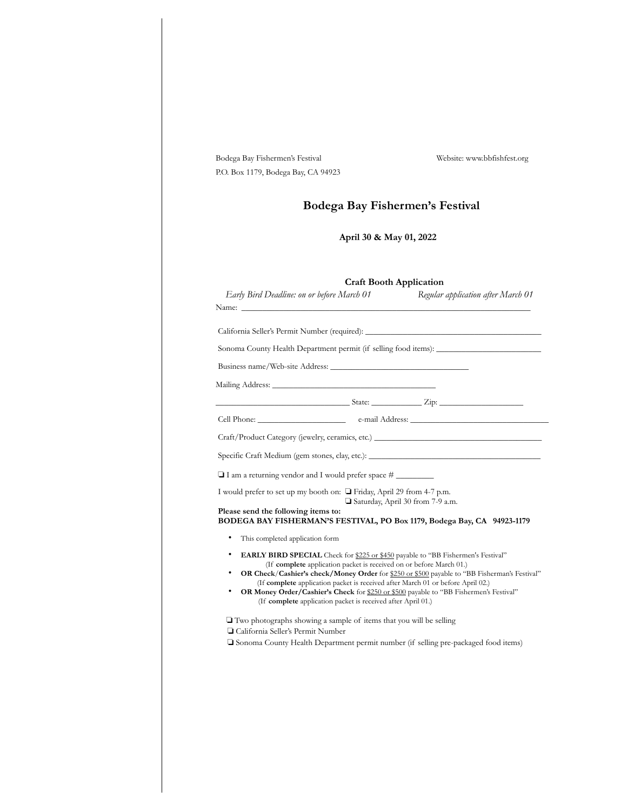|                         | Bodega Bay Fishermen's Festival                                                                                                                                | Website: www.bbfishfest.org                                                                                                                                                            |
|-------------------------|----------------------------------------------------------------------------------------------------------------------------------------------------------------|----------------------------------------------------------------------------------------------------------------------------------------------------------------------------------------|
|                         | P.O. Box 1179, Bodega Bay, CA 94923                                                                                                                            |                                                                                                                                                                                        |
|                         |                                                                                                                                                                | Bodega Bay Fishermen's Festival                                                                                                                                                        |
| April 30 & May 01, 2022 |                                                                                                                                                                |                                                                                                                                                                                        |
|                         |                                                                                                                                                                | <b>Craft Booth Application</b>                                                                                                                                                         |
|                         | Early Bird Deadline: on or before March 01                                                                                                                     | Regular application after March 01                                                                                                                                                     |
|                         | California Seller's Permit Number (required): ___________________________________                                                                              |                                                                                                                                                                                        |
|                         | Sonoma County Health Department permit (if selling food items): _________________                                                                              |                                                                                                                                                                                        |
|                         | Business name/Web-site Address:                                                                                                                                |                                                                                                                                                                                        |
|                         |                                                                                                                                                                |                                                                                                                                                                                        |
|                         |                                                                                                                                                                |                                                                                                                                                                                        |
|                         |                                                                                                                                                                |                                                                                                                                                                                        |
|                         |                                                                                                                                                                |                                                                                                                                                                                        |
|                         | Specific Craft Medium (gem stones, clay, etc.): _________________________________                                                                              |                                                                                                                                                                                        |
|                         | $\Box$ I am a returning vendor and I would prefer space #                                                                                                      |                                                                                                                                                                                        |
|                         | I would prefer to set up my booth on: $\Box$ Friday, April 29 from 4-7 p.m.                                                                                    | Saturday, April 30 from 7-9 a.m.                                                                                                                                                       |
|                         | Please send the following items to:<br>BODEGA BAY FISHERMAN'S FESTIVAL, PO Box 1179, Bodega Bay, CA 94923-1179                                                 |                                                                                                                                                                                        |
|                         | This completed application form                                                                                                                                |                                                                                                                                                                                        |
| ٠<br>٠                  | <b>EARLY BIRD SPECIAL</b> Check for \$225 or \$450 payable to "BB Fishermen's Festival"<br>(If complete application packet is received on or before March 01.) | <b>OR Check/Cashier's check/Money Order</b> for \$250 or \$500 payable to "BB Fisherman's Festival"<br>(If complete application packet is received after March 01 or before April 02.) |
|                         | <b>OR Money Order/Cashier's Check</b> for \$250 or \$500 payable to "BB Fishermen's Festival"<br>(If complete application packet is received after April 01.)  |                                                                                                                                                                                        |